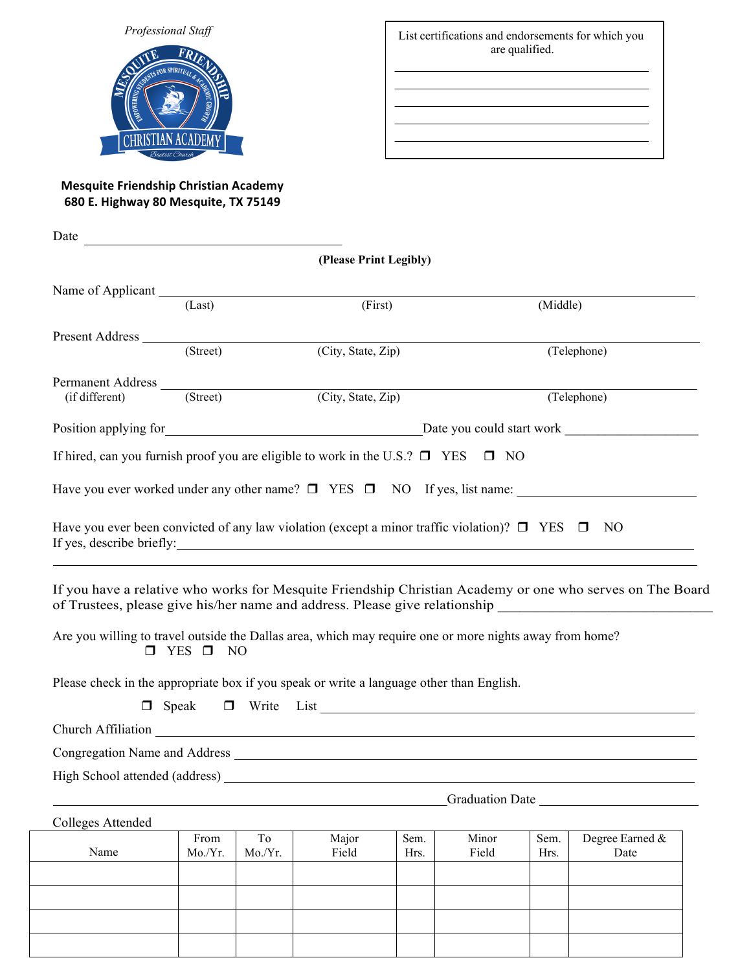

List certifications and endorsements for which you are qualified.

<u> 1980 - Johann Barn, mars an t-Amerikaansk komponister (</u>

#### **Mesquite Friendship Christian Academy 680 E. Highway 80 Mesquite, TX 75149**

| Date <u>experience</u>                                                                                                                  |                      |         |                        |      |                        |             |                                                                                                                                                                                          |  |
|-----------------------------------------------------------------------------------------------------------------------------------------|----------------------|---------|------------------------|------|------------------------|-------------|------------------------------------------------------------------------------------------------------------------------------------------------------------------------------------------|--|
|                                                                                                                                         |                      |         | (Please Print Legibly) |      |                        |             |                                                                                                                                                                                          |  |
| Name of Applicant                                                                                                                       |                      |         |                        |      |                        |             |                                                                                                                                                                                          |  |
|                                                                                                                                         | (Last)               |         | (First)                |      |                        | (Middle)    |                                                                                                                                                                                          |  |
| Present Address (Street)                                                                                                                |                      |         |                        |      |                        |             |                                                                                                                                                                                          |  |
|                                                                                                                                         |                      |         | (City, State, Zip)     |      |                        |             | (Telephone)                                                                                                                                                                              |  |
| Permanent Address                                                                                                                       |                      |         |                        |      |                        |             |                                                                                                                                                                                          |  |
| (if different)                                                                                                                          | (Street)             |         | (City, State, Zip)     |      |                        | (Telephone) |                                                                                                                                                                                          |  |
|                                                                                                                                         |                      |         |                        |      |                        |             | Position applying for <b>Date Solution</b> Date you could start work                                                                                                                     |  |
| If hired, can you furnish proof you are eligible to work in the U.S.? $\Box$ YES $\Box$ NO                                              |                      |         |                        |      |                        |             |                                                                                                                                                                                          |  |
|                                                                                                                                         |                      |         |                        |      |                        |             | Have you ever worked under any other name? $\square$ YES $\square$ NO If yes, list name:                                                                                                 |  |
|                                                                                                                                         |                      |         |                        |      |                        |             |                                                                                                                                                                                          |  |
| Have you ever been convicted of any law violation (except a minor traffic violation)? $\Box$ YES $\Box$ NO<br>If yes, describe briefly: |                      |         |                        |      |                        |             |                                                                                                                                                                                          |  |
|                                                                                                                                         |                      |         |                        |      |                        |             |                                                                                                                                                                                          |  |
|                                                                                                                                         |                      |         |                        |      |                        |             | If you have a relative who works for Mesquite Friendship Christian Academy or one who serves on The Board<br>of Trustees, please give his/her name and address. Please give relationship |  |
| Are you willing to travel outside the Dallas area, which may require one or more nights away from home?                                 |                      |         |                        |      |                        |             |                                                                                                                                                                                          |  |
|                                                                                                                                         | $\Box$ YES $\Box$ NO |         |                        |      |                        |             |                                                                                                                                                                                          |  |
| Please check in the appropriate box if you speak or write a language other than English.                                                |                      |         |                        |      |                        |             |                                                                                                                                                                                          |  |
|                                                                                                                                         |                      |         |                        |      |                        |             |                                                                                                                                                                                          |  |
| Church Affiliation <u>Church Affiliation</u>                                                                                            |                      |         |                        |      |                        |             |                                                                                                                                                                                          |  |
|                                                                                                                                         |                      |         |                        |      |                        |             |                                                                                                                                                                                          |  |
| High School attended (address)                                                                                                          |                      |         |                        |      |                        |             |                                                                                                                                                                                          |  |
|                                                                                                                                         |                      |         |                        |      | <b>Graduation Date</b> |             |                                                                                                                                                                                          |  |
| <b>Colleges Attended</b>                                                                                                                |                      |         |                        |      |                        |             |                                                                                                                                                                                          |  |
|                                                                                                                                         | To<br>From           |         | Major<br>Sem.          |      | Minor                  | Sem.        | Degree Earned &                                                                                                                                                                          |  |
| Name                                                                                                                                    | Mo./Yr.              | Mo./Yr. | Field                  | Hrs. | Field                  | Hrs.        | Date                                                                                                                                                                                     |  |
|                                                                                                                                         |                      |         |                        |      |                        |             |                                                                                                                                                                                          |  |
|                                                                                                                                         |                      |         |                        |      |                        |             |                                                                                                                                                                                          |  |
|                                                                                                                                         |                      |         |                        |      |                        |             |                                                                                                                                                                                          |  |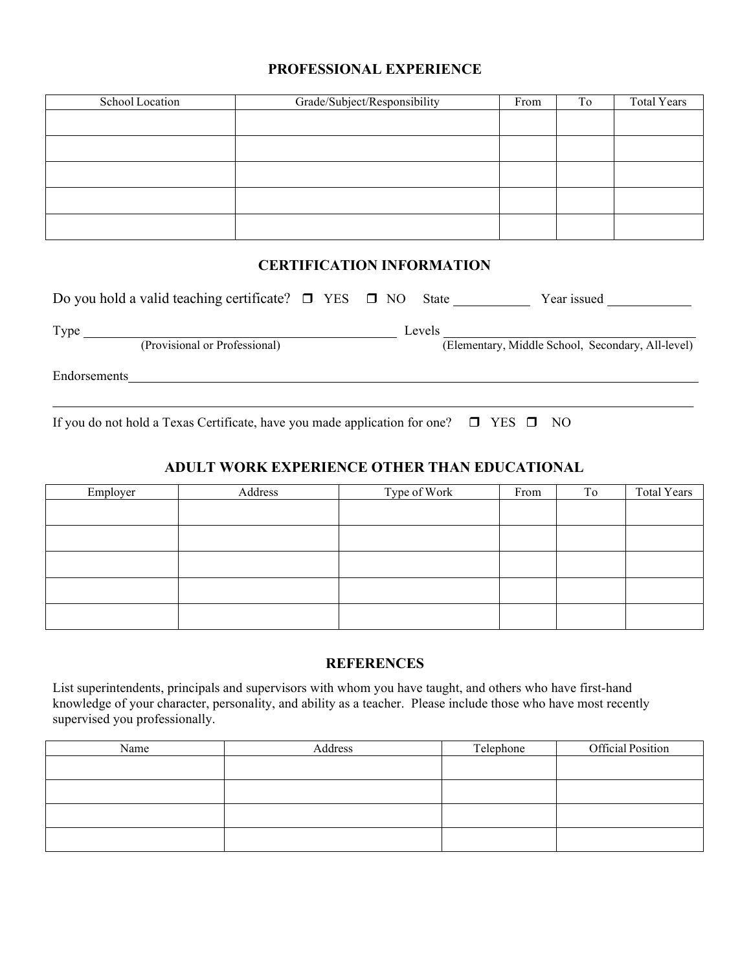## **PROFESSIONAL EXPERIENCE**

| School Location | Grade/Subject/Responsibility | From | To | <b>Total Years</b> |
|-----------------|------------------------------|------|----|--------------------|
|                 |                              |      |    |                    |
|                 |                              |      |    |                    |
|                 |                              |      |    |                    |
|                 |                              |      |    |                    |
|                 |                              |      |    |                    |

# **CERTIFICATION INFORMATION**

| Do you hold a valid teaching certificate? $\Box$ YES $\Box$ NO State |                               |  |  |        | Year issued                                       |
|----------------------------------------------------------------------|-------------------------------|--|--|--------|---------------------------------------------------|
| Type                                                                 |                               |  |  | Levels |                                                   |
|                                                                      | (Provisional or Professional) |  |  |        | (Elementary, Middle School, Secondary, All-level) |
| Endorsements                                                         |                               |  |  |        |                                                   |
|                                                                      |                               |  |  |        |                                                   |

If you do not hold a Texas Certificate, have you made application for one?  $\Box$  YES  $\Box$  NO

# **ADULT WORK EXPERIENCE OTHER THAN EDUCATIONAL**

| Employer | Address | Type of Work | From | To | <b>Total Years</b> |
|----------|---------|--------------|------|----|--------------------|
|          |         |              |      |    |                    |
|          |         |              |      |    |                    |
|          |         |              |      |    |                    |
|          |         |              |      |    |                    |
|          |         |              |      |    |                    |
|          |         |              |      |    |                    |
|          |         |              |      |    |                    |
|          |         |              |      |    |                    |
|          |         |              |      |    |                    |
|          |         |              |      |    |                    |

#### **REFERENCES**

List superintendents, principals and supervisors with whom you have taught, and others who have first-hand knowledge of your character, personality, and ability as a teacher. Please include those who have most recently supervised you professionally.

| Name | Address | Telephone | <b>Official Position</b> |
|------|---------|-----------|--------------------------|
|      |         |           |                          |
|      |         |           |                          |
|      |         |           |                          |
|      |         |           |                          |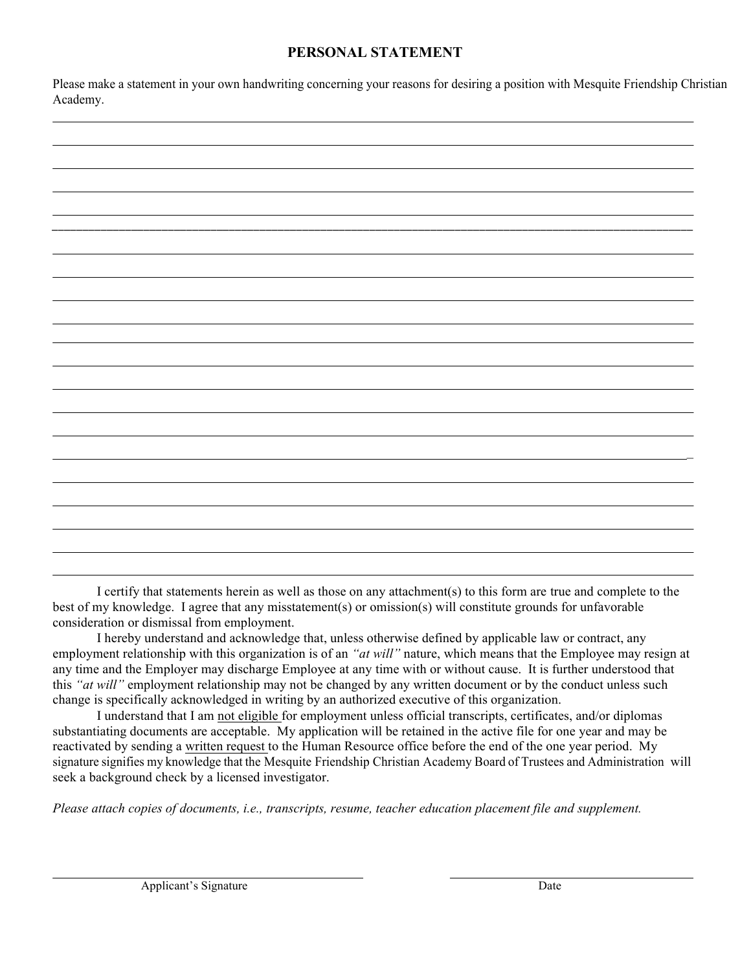# **PERSONAL STATEMENT**

Please make a statement in your own handwriting concerning your reasons for desiring a position with Mesquite Friendship Christian Academy.

I certify that statements herein as well as those on any attachment(s) to this form are true and complete to the best of my knowledge. I agree that any misstatement(s) or omission(s) will constitute grounds for unfavorable consideration or dismissal from employment.

I hereby understand and acknowledge that, unless otherwise defined by applicable law or contract, any employment relationship with this organization is of an *"at will"* nature, which means that the Employee may resign at any time and the Employer may discharge Employee at any time with or without cause. It is further understood that this *"at will"* employment relationship may not be changed by any written document or by the conduct unless such change is specifically acknowledged in writing by an authorized executive of this organization.

I understand that I am not eligible for employment unless official transcripts, certificates, and/or diplomas substantiating documents are acceptable. My application will be retained in the active file for one year and may be reactivated by sending a written request to the Human Resource office before the end of the one year period. My signature signifies my knowledge that the Mesquite Friendship Christian Academy Board of Trustees and Administration will seek a background check by a licensed investigator.

*Please attach copies of documents, i.e., transcripts, resume, teacher education placement file and supplement.*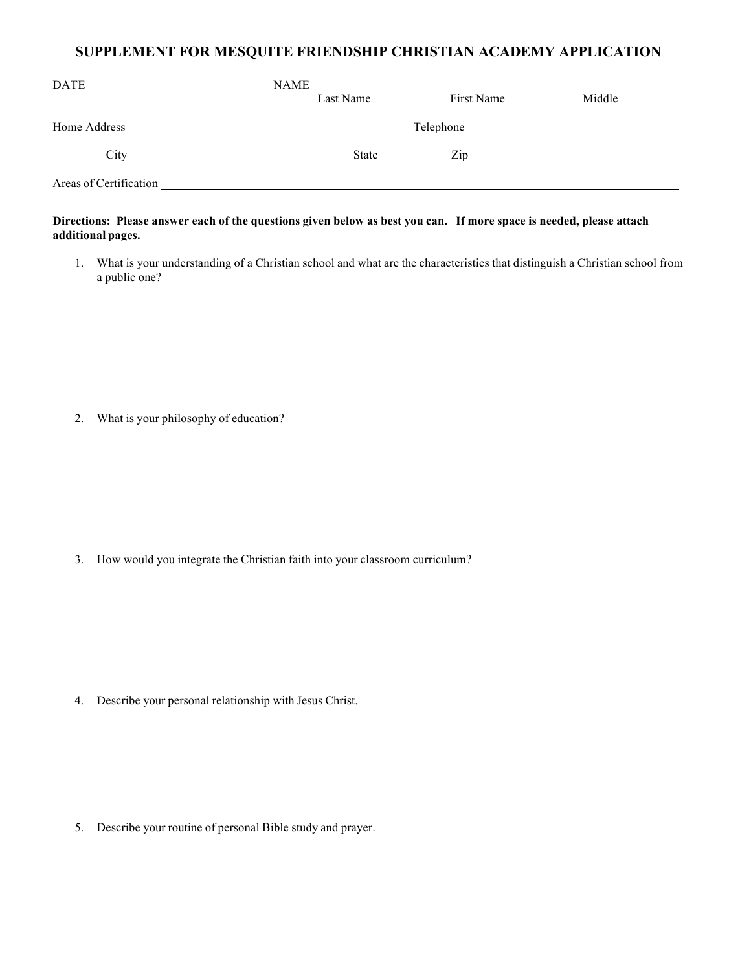## **SUPPLEMENT FOR MESQUITE FRIENDSHIP CHRISTIAN ACADEMY APPLICATION**

| DATE                   | NAME      |            |        |  |  |  |  |
|------------------------|-----------|------------|--------|--|--|--|--|
|                        | Last Name | First Name | Middle |  |  |  |  |
| Home Address           |           |            |        |  |  |  |  |
| City                   | State     | Zip        |        |  |  |  |  |
| Areas of Certification |           |            |        |  |  |  |  |

#### Directions: Please answer each of the questions given below as best you can. If more space is needed, please attach **additional pages.**

1. What is your understanding of a Christian school and what are the characteristics that distinguish a Christian school from a public one?

2. What is your philosophy of education?

3. How would you integrate the Christian faith into your classroom curriculum?

4. Describe your personal relationship with Jesus Christ.

5. Describe your routine of personal Bible study and prayer.